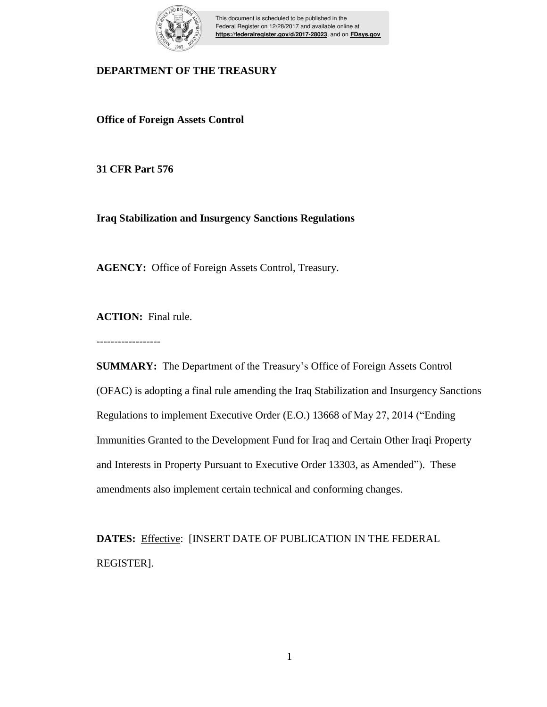

This document is scheduled to be published in the Federal Register on 12/28/2017 and available online at **https://federalregister.gov/d/2017-28023**, and on **FDsys.gov**

### **DEPARTMENT OF THE TREASURY**

**Office of Foreign Assets Control**

**31 CFR Part 576**

**Iraq Stabilization and Insurgency Sanctions Regulations**

**AGENCY:** Office of Foreign Assets Control, Treasury.

**ACTION:** Final rule.

------------------

**SUMMARY:** The Department of the Treasury's Office of Foreign Assets Control (OFAC) is adopting a final rule amending the Iraq Stabilization and Insurgency Sanctions Regulations to implement Executive Order (E.O.) 13668 of May 27, 2014 ("Ending Immunities Granted to the Development Fund for Iraq and Certain Other Iraqi Property and Interests in Property Pursuant to Executive Order 13303, as Amended"). These amendments also implement certain technical and conforming changes.

DATES: Effective: [INSERT DATE OF PUBLICATION IN THE FEDERAL REGISTER].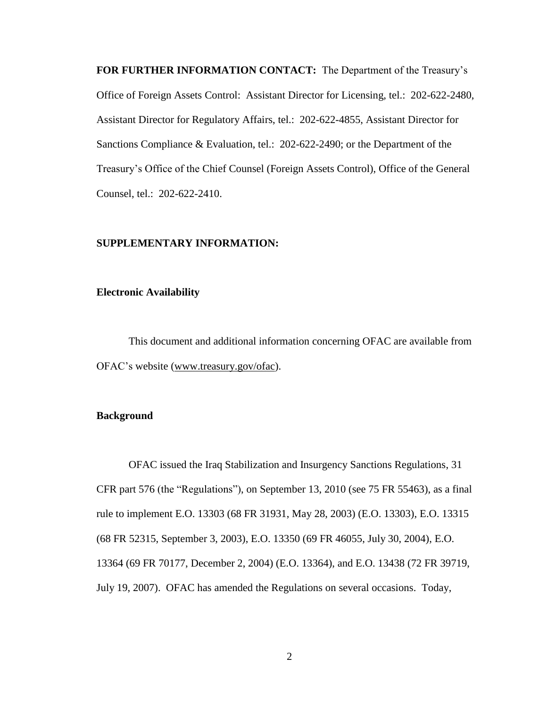**FOR FURTHER INFORMATION CONTACT:** The Department of the Treasury's Office of Foreign Assets Control: Assistant Director for Licensing, tel.: 202-622-2480, Assistant Director for Regulatory Affairs, tel.: 202-622-4855, Assistant Director for Sanctions Compliance & Evaluation, tel.: 202-622-2490; or the Department of the Treasury's Office of the Chief Counsel (Foreign Assets Control), Office of the General Counsel, tel.: 202-622-2410.

### **SUPPLEMENTARY INFORMATION:**

### **Electronic Availability**

This document and additional information concerning OFAC are available from OFAC's website (www.treasury.gov/ofac).

### **Background**

OFAC issued the Iraq Stabilization and Insurgency Sanctions Regulations, 31 CFR part 576 (the "Regulations"), on September 13, 2010 (see 75 FR 55463), as a final rule to implement E.O. 13303 (68 FR 31931, May 28, 2003) (E.O. 13303), E.O. 13315 (68 FR 52315, September 3, 2003), E.O. 13350 (69 FR 46055, July 30, 2004), E.O. 13364 (69 FR 70177, December 2, 2004) (E.O. 13364), and E.O. 13438 (72 FR 39719, July 19, 2007). OFAC has amended the Regulations on several occasions. Today,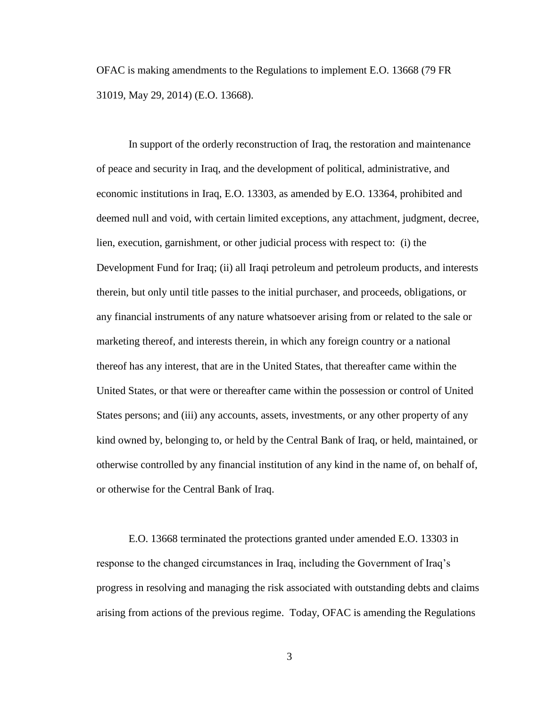OFAC is making amendments to the Regulations to implement E.O. 13668 (79 FR 31019, May 29, 2014) (E.O. 13668).

In support of the orderly reconstruction of Iraq, the restoration and maintenance of peace and security in Iraq, and the development of political, administrative, and economic institutions in Iraq, E.O. 13303, as amended by E.O. 13364, prohibited and deemed null and void, with certain limited exceptions, any attachment, judgment, decree, lien, execution, garnishment, or other judicial process with respect to: (i) the Development Fund for Iraq; (ii) all Iraqi petroleum and petroleum products, and interests therein, but only until title passes to the initial purchaser, and proceeds, obligations, or any financial instruments of any nature whatsoever arising from or related to the sale or marketing thereof, and interests therein, in which any foreign country or a national thereof has any interest, that are in the United States, that thereafter came within the United States, or that were or thereafter came within the possession or control of United States persons; and (iii) any accounts, assets, investments, or any other property of any kind owned by, belonging to, or held by the Central Bank of Iraq, or held, maintained, or otherwise controlled by any financial institution of any kind in the name of, on behalf of, or otherwise for the Central Bank of Iraq.

E.O. 13668 terminated the protections granted under amended E.O. 13303 in response to the changed circumstances in Iraq, including the Government of Iraq's progress in resolving and managing the risk associated with outstanding debts and claims arising from actions of the previous regime. Today, OFAC is amending the Regulations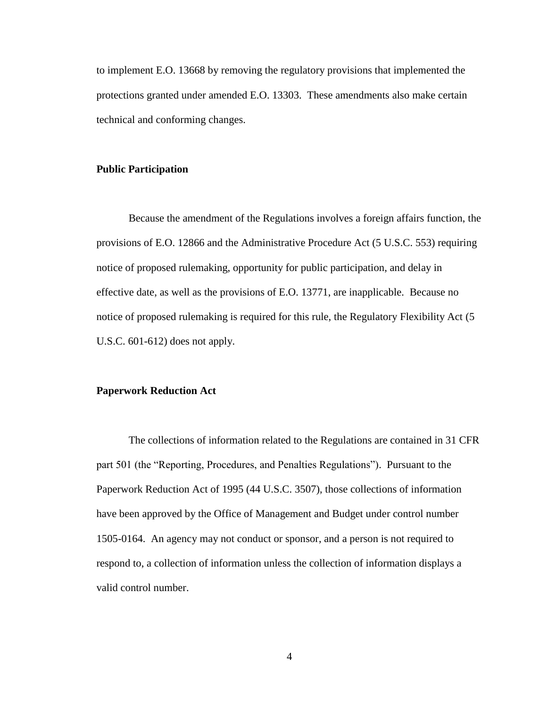to implement E.O. 13668 by removing the regulatory provisions that implemented the protections granted under amended E.O. 13303. These amendments also make certain technical and conforming changes.

### **Public Participation**

Because the amendment of the Regulations involves a foreign affairs function, the provisions of E.O. 12866 and the Administrative Procedure Act (5 U.S.C. 553) requiring notice of proposed rulemaking, opportunity for public participation, and delay in effective date, as well as the provisions of E.O. 13771, are inapplicable. Because no notice of proposed rulemaking is required for this rule, the Regulatory Flexibility Act (5 U.S.C. 601-612) does not apply.

#### **Paperwork Reduction Act**

The collections of information related to the Regulations are contained in 31 CFR part 501 (the "Reporting, Procedures, and Penalties Regulations"). Pursuant to the Paperwork Reduction Act of 1995 (44 U.S.C. 3507), those collections of information have been approved by the Office of Management and Budget under control number 1505-0164. An agency may not conduct or sponsor, and a person is not required to respond to, a collection of information unless the collection of information displays a valid control number.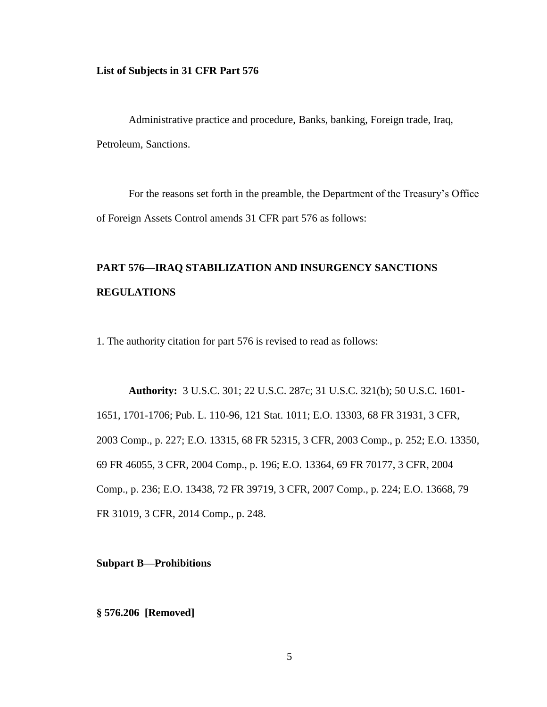### **List of Subjects in 31 CFR Part 576**

Administrative practice and procedure, Banks, banking, Foreign trade, Iraq, Petroleum, Sanctions.

For the reasons set forth in the preamble, the Department of the Treasury's Office of Foreign Assets Control amends 31 CFR part 576 as follows:

# **PART 576—IRAQ STABILIZATION AND INSURGENCY SANCTIONS REGULATIONS**

1. The authority citation for part 576 is revised to read as follows:

**Authority:** 3 U.S.C. 301; 22 U.S.C. 287c; 31 U.S.C. 321(b); 50 U.S.C. 1601- 1651, 1701-1706; Pub. L. 110-96, 121 Stat. 1011; E.O. 13303, 68 FR 31931, 3 CFR, 2003 Comp., p. 227; E.O. 13315, 68 FR 52315, 3 CFR, 2003 Comp., p. 252; E.O. 13350, 69 FR 46055, 3 CFR, 2004 Comp., p. 196; E.O. 13364, 69 FR 70177, 3 CFR, 2004 Comp., p. 236; E.O. 13438, 72 FR 39719, 3 CFR, 2007 Comp., p. 224; E.O. 13668, 79 FR 31019, 3 CFR, 2014 Comp., p. 248.

**Subpart B—Prohibitions**

**§ 576.206 [Removed]**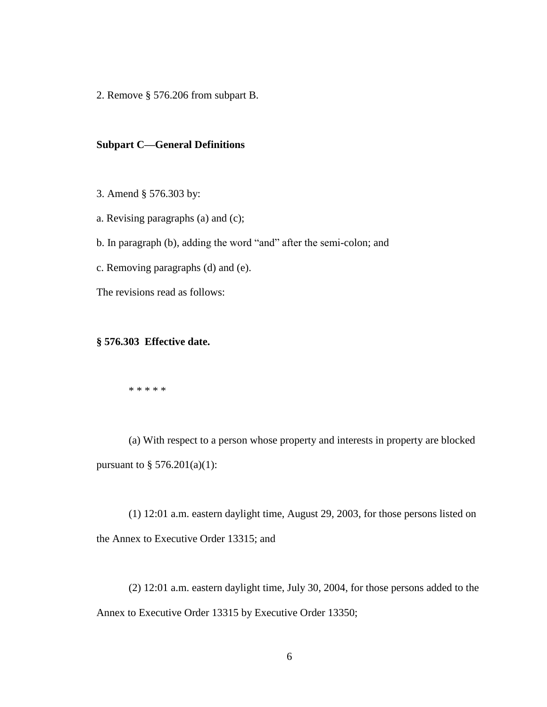2. Remove § 576.206 from subpart B.

### **Subpart C—General Definitions**

3. Amend § 576.303 by:

a. Revising paragraphs (a) and (c);

b. In paragraph (b), adding the word "and" after the semi-colon; and

c. Removing paragraphs (d) and (e).

The revisions read as follows:

### **§ 576.303 Effective date.**

\* \* \* \* \*

(a) With respect to a person whose property and interests in property are blocked pursuant to  $\S 576.201(a)(1)$ :

(1) 12:01 a.m. eastern daylight time, August 29, 2003, for those persons listed on the Annex to Executive Order 13315; and

(2) 12:01 a.m. eastern daylight time, July 30, 2004, for those persons added to the Annex to Executive Order 13315 by Executive Order 13350;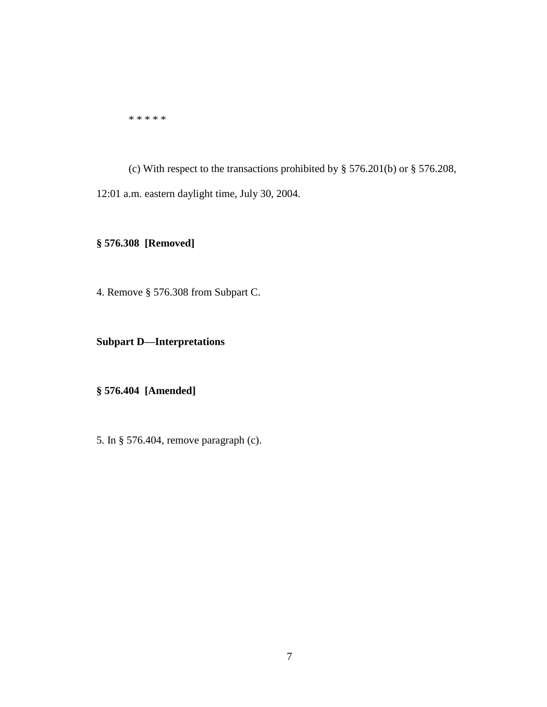\* \* \* \* \*

(c) With respect to the transactions prohibited by § 576.201(b) or § 576.208, 12:01 a.m. eastern daylight time, July 30, 2004.

# **§ 576.308 [Removed]**

4. Remove § 576.308 from Subpart C.

# **Subpart D—Interpretations**

## **§ 576.404 [Amended]**

5. In § 576.404, remove paragraph (c).